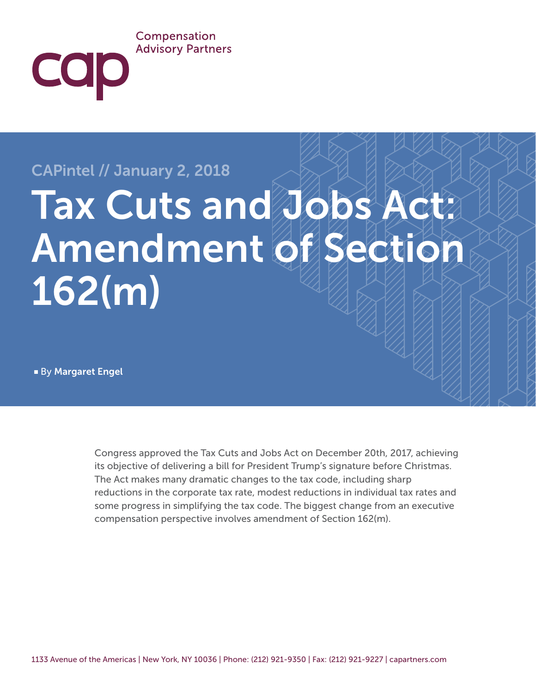#### Compensation **Advisory Partners**

## CAPintel // January 2, 2018

# Tax Cuts and Jobs Act? Amendment of Section 162(m)

■ By Margaret Engel

COD

Congress approved the Tax Cuts and Jobs Act on December 20th, 2017, achieving its objective of delivering a bill for President Trump's signature before Christmas. The Act makes many dramatic changes to the tax code, including sharp reductions in the corporate tax rate, modest reductions in individual tax rates and some progress in simplifying the tax code. The biggest change from an executive compensation perspective involves amendment of Section 162(m).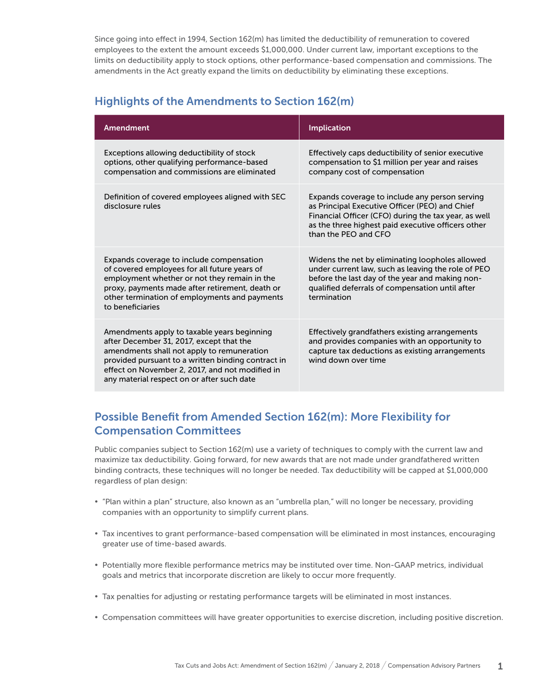Since going into effect in 1994, Section 162(m) has limited the deductibility of remuneration to covered employees to the extent the amount exceeds \$1,000,000. Under current law, important exceptions to the limits on deductibility apply to stock options, other performance-based compensation and commissions. The amendments in the Act greatly expand the limits on deductibility by eliminating these exceptions.

### Highlights of the Amendments to Section 162(m)

| Amendment                                                                                                                                                                                                                                                                                    | <b>Implication</b>                                                                                                                                                                                                                     |
|----------------------------------------------------------------------------------------------------------------------------------------------------------------------------------------------------------------------------------------------------------------------------------------------|----------------------------------------------------------------------------------------------------------------------------------------------------------------------------------------------------------------------------------------|
| Exceptions allowing deductibility of stock<br>options, other qualifying performance-based<br>compensation and commissions are eliminated                                                                                                                                                     | Effectively caps deductibility of senior executive<br>compensation to \$1 million per year and raises<br>company cost of compensation                                                                                                  |
| Definition of covered employees aligned with SEC<br>disclosure rules                                                                                                                                                                                                                         | Expands coverage to include any person serving<br>as Principal Executive Officer (PEO) and Chief<br>Financial Officer (CFO) during the tax year, as well<br>as the three highest paid executive officers other<br>than the PEO and CEO |
| Expands coverage to include compensation<br>of covered employees for all future years of<br>employment whether or not they remain in the<br>proxy, payments made after retirement, death or<br>other termination of employments and payments<br>to beneficiaries                             | Widens the net by eliminating loopholes allowed<br>under current law, such as leaving the role of PEO<br>before the last day of the year and making non-<br>qualified deferrals of compensation until after<br>termination             |
| Amendments apply to taxable years beginning<br>after December 31, 2017, except that the<br>amendments shall not apply to remuneration<br>provided pursuant to a written binding contract in<br>effect on November 2, 2017, and not modified in<br>any material respect on or after such date | Effectively grandfathers existing arrangements<br>and provides companies with an opportunity to<br>capture tax deductions as existing arrangements<br>wind down over time                                                              |

### Possible Benefit from Amended Section 162(m): More Flexibility for Compensation Committees

Public companies subject to Section 162(m) use a variety of techniques to comply with the current law and maximize tax deductibility. Going forward, for new awards that are not made under grandfathered written binding contracts, these techniques will no longer be needed. Tax deductibility will be capped at \$1,000,000 regardless of plan design:

- "Plan within a plan" structure, also known as an "umbrella plan," will no longer be necessary, providing companies with an opportunity to simplify current plans.
- Tax incentives to grant performance-based compensation will be eliminated in most instances, encouraging greater use of time-based awards.
- Potentially more flexible performance metrics may be instituted over time. Non-GAAP metrics, individual goals and metrics that incorporate discretion are likely to occur more frequently.
- Tax penalties for adjusting or restating performance targets will be eliminated in most instances.
- Compensation committees will have greater opportunities to exercise discretion, including positive discretion.